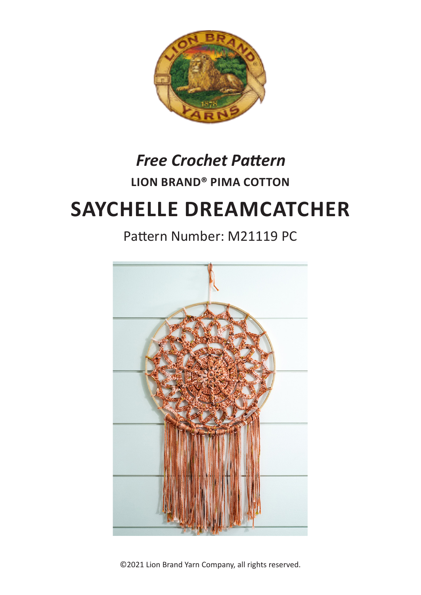

## **LION BRAND® PIMA COTTON**  *Free Crochet Pattern*

# **SAYCHELLE DREAMCATCHER**

## Pattern Number: M21119 PC



©2021 Lion Brand Yarn Company, all rights reserved.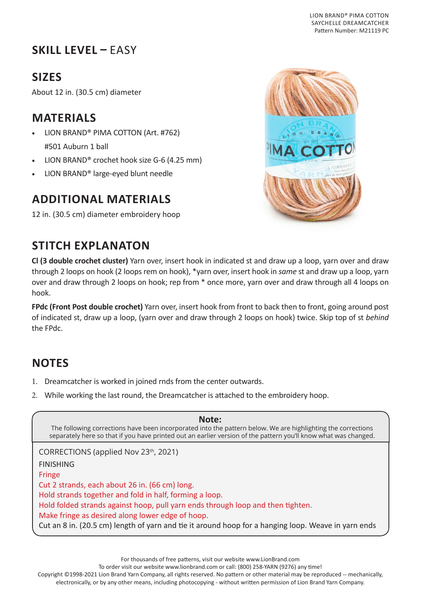## **SKILL LEVEL –** EASY

## **SIZES**

About 12 in. (30.5 cm) diameter

#### **MATERIALS**

- LION BRAND® PIMA COTTON (Art. #762) #501 Auburn 1 ball
- LION BRAND® crochet hook size G-6 (4.25 mm)
- LION BRAND® large-eyed blunt needle

#### **ADDITIONAL MATERIALS**

12 in. (30.5 cm) diameter embroidery hoop



#### **STITCH EXPLANATON**

**Cl (3 double crochet cluster)** Yarn over, insert hook in indicated st and draw up a loop, yarn over and draw through 2 loops on hook (2 loops rem on hook), \*yarn over, insert hook in *same* st and draw up a loop, yarn over and draw through 2 loops on hook; rep from \* once more, yarn over and draw through all 4 loops on hook.

**FPdc (Front Post double crochet)** Yarn over, insert hook from front to back then to front, going around post of indicated st, draw up a loop, (yarn over and draw through 2 loops on hook) twice. Skip top of st *behind* the FPdc.

## **NOTES**

- 1. Dreamcatcher is worked in joined rnds from the center outwards.
- 2. While working the last round, the Dreamcatcher is attached to the embroidery hoop.

| Note:<br>The following corrections have been incorporated into the pattern below. We are highlighting the corrections<br>separately here so that if you have printed out an earlier version of the pattern you'll know what was changed. |
|------------------------------------------------------------------------------------------------------------------------------------------------------------------------------------------------------------------------------------------|
| CORRECTIONS (applied Nov 23th, 2021)                                                                                                                                                                                                     |
| <b>FINISHING</b>                                                                                                                                                                                                                         |
| <b>Fringe</b>                                                                                                                                                                                                                            |
| Cut 2 strands, each about 26 in. (66 cm) long.                                                                                                                                                                                           |
| Hold strands together and fold in half, forming a loop.                                                                                                                                                                                  |
| Hold folded strands against hoop, pull yarn ends through loop and then tighten.                                                                                                                                                          |
| Make fringe as desired along lower edge of hoop.                                                                                                                                                                                         |
| Cut an 8 in. (20.5 cm) length of yarn and tie it around hoop for a hanging loop. Weave in yarn ends                                                                                                                                      |

To order visit our website www.lionbrand.com or call: (800) 258-YARN (9276) any time!

Copyright ©1998-2021 Lion Brand Yarn Company, all rights reserved. No pattern or other material may be reproduced -- mechanically,

electronically, or by any other means, including photocopying - without written permission of Lion Brand Yarn Company.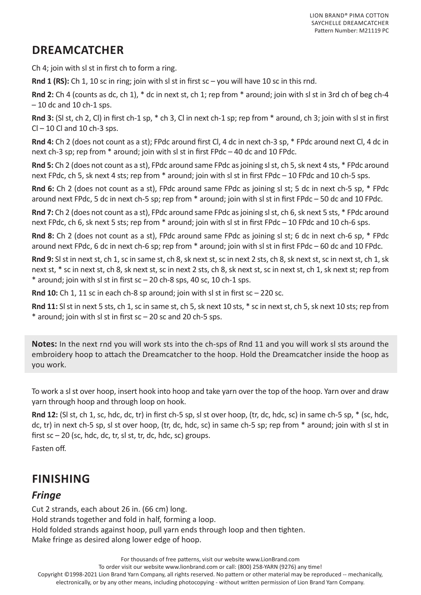## **DREAMCATCHER**

Ch 4; join with sl st in first ch to form a ring.

**Rnd 1 (RS):** Ch 1, 10 sc in ring; join with sl st in first sc – you will have 10 sc in this rnd.

**Rnd 2:** Ch 4 (counts as dc, ch 1), \* dc in next st, ch 1; rep from \* around; join with sl st in 3rd ch of beg ch-4  $-10$  dc and 10 ch-1 sps.

**Rnd 3:** (Sl st, ch 2, Cl) in first ch-1 sp, \* ch 3, Cl in next ch-1 sp; rep from \* around, ch 3; join with sl st in first  $Cl - 10$  Cl and 10 ch-3 sps.

**Rnd 4:** Ch 2 (does not count as a st); FPdc around first Cl, 4 dc in next ch-3 sp, \* FPdc around next Cl, 4 dc in next ch-3 sp; rep from \* around; join with sl st in first FPdc – 40 dc and 10 FPdc.

**Rnd 5:** Ch 2 (does not count as a st), FPdc around same FPdc as joining sl st, ch 5, sk next 4 sts, \* FPdc around next FPdc, ch 5, sk next 4 sts; rep from \* around; join with sl st in first FPdc – 10 FPdc and 10 ch-5 sps.

**Rnd 6:** Ch 2 (does not count as a st), FPdc around same FPdc as joining sl st; 5 dc in next ch-5 sp, \* FPdc around next FPdc, 5 dc in next ch-5 sp; rep from \* around; join with sl st in first FPdc – 50 dc and 10 FPdc.

**Rnd 7:** Ch 2 (does not count as a st), FPdc around same FPdc as joining sl st, ch 6, sk next 5 sts, \* FPdc around next FPdc, ch 6, sk next 5 sts; rep from \* around; join with sl st in first FPdc – 10 FPdc and 10 ch-6 sps.

**Rnd 8:** Ch 2 (does not count as a st), FPdc around same FPdc as joining sl st; 6 dc in next ch-6 sp, \* FPdc around next FPdc, 6 dc in next ch-6 sp; rep from \* around; join with sl st in first FPdc – 60 dc and 10 FPdc.

**Rnd 9:** Sl st in next st, ch 1, sc in same st, ch 8, sk next st, sc in next 2 sts, ch 8, sk next st, sc in next st, ch 1, sk next st, \* sc in next st, ch 8, sk next st, sc in next 2 sts, ch 8, sk next st, sc in next st, ch 1, sk next st; rep from  $*$  around; join with sl st in first sc  $-$  20 ch-8 sps, 40 sc, 10 ch-1 sps.

**Rnd 10:** Ch 1, 11 sc in each ch-8 sp around; join with sl st in first sc – 220 sc.

**Rnd 11:** Sl st in next 5 sts, ch 1, sc in same st, ch 5, sk next 10 sts, \* sc in next st, ch 5, sk next 10 sts; rep from \* around; join with sl st in first sc – 20 sc and 20 ch-5 sps.

**Notes:** In the next rnd you will work sts into the ch-sps of Rnd 11 and you will work sl sts around the embroidery hoop to attach the Dreamcatcher to the hoop. Hold the Dreamcatcher inside the hoop as you work.

To work a sl st over hoop, insert hook into hoop and take yarn over the top of the hoop. Yarn over and draw yarn through hoop and through loop on hook.

**Rnd 12:** (Sl st, ch 1, sc, hdc, dc, tr) in first ch-5 sp, sl st over hoop, (tr, dc, hdc, sc) in same ch-5 sp, \* (sc, hdc, dc, tr) in next ch-5 sp, sl st over hoop, (tr, dc, hdc, sc) in same ch-5 sp; rep from \* around; join with sl st in first  $sc - 20$  (sc, hdc, dc, tr, sl st, tr, dc, hdc, sc) groups.

Fasten off.

#### **FINISHING**

#### *Fringe*

Cut 2 strands, each about 26 in. (66 cm) long. Hold strands together and fold in half, forming a loop. Hold folded strands against hoop, pull yarn ends through loop and then tighten. Make fringe as desired along lower edge of hoop.

For thousands of free patterns, visit our website www.LionBrand.com

To order visit our website www.lionbrand.com or call: (800) 258-YARN (9276) any time!

Copyright ©1998-2021 Lion Brand Yarn Company, all rights reserved. No pattern or other material may be reproduced -- mechanically, electronically, or by any other means, including photocopying - without written permission of Lion Brand Yarn Company.